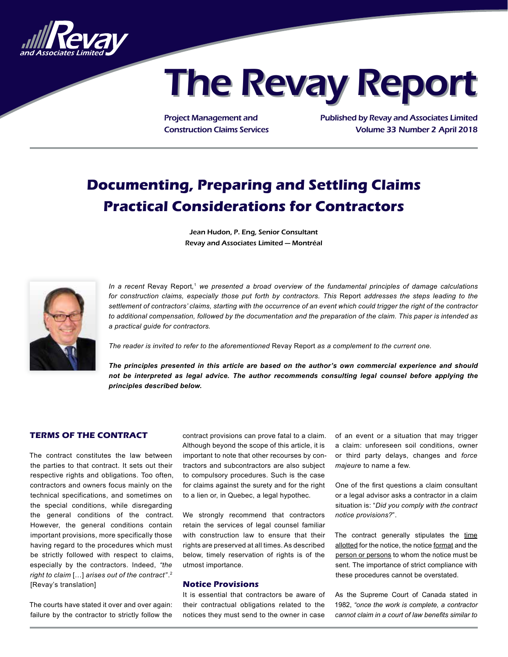

# **The Revay Report**

Project Management and Construction Claims Services Published by Revay and Associates Limited Volume 33 Number 2 April 2018

# **Documenting, Preparing and Settling Claims Practical Considerations for Contractors**

Jean Hudon, P. Eng, Senior Consultant Revay and Associates Limited — Montréal



In a recent Revay Report,<sup>1</sup> we presented a broad overview of the fundamental principles of damage calculations *for construction claims, especially those put forth by contractors. This* Report *addresses the steps leading to the settlement of contractors' claims, starting with the occurrence of an event which could trigger the right of the contractor to additional compensation, followed by the documentation and the preparation of the claim. This paper is intended as a practical guide for contractors.*

*The reader is invited to refer to the aforementioned* Revay Report *as a complement to the current one.*

*The principles presented in this article are based on the author's own commercial experience and should not be interpreted as legal advice. The author recommends consulting legal counsel before applying the principles described below.*

# **TERMS OF THE CONTRACT**

The contract constitutes the law between the parties to that contract. It sets out their respective rights and obligations. Too often, contractors and owners focus mainly on the technical specifications, and sometimes on the special conditions, while disregarding the general conditions of the contract. However, the general conditions contain important provisions, more specifically those having regard to the procedures which must be strictly followed with respect to claims, especially by the contractors. Indeed, *"the right to claim* […] *arises out of the contract"*. 2 [Revay's translation]

The courts have stated it over and over again: failure by the contractor to strictly follow the

contract provisions can prove fatal to a claim. Although beyond the scope of this article, it is important to note that other recourses by contractors and subcontractors are also subject to compulsory procedures. Such is the case for claims against the surety and for the right to a lien or, in Quebec, a legal hypothec.

We strongly recommend that contractors retain the services of legal counsel familiar with construction law to ensure that their rights are preserved at all times. As described below, timely reservation of rights is of the utmost importance.

# **Notice Provisions**

It is essential that contractors be aware of their contractual obligations related to the notices they must send to the owner in case

of an event or a situation that may trigger a claim: unforeseen soil conditions, owner or third party delays, changes and *force majeure* to name a few.

One of the first questions a claim consultant or a legal advisor asks a contractor in a claim situation is: "*Did you comply with the contract notice provisions?*".

The contract generally stipulates the time allotted for the notice, the notice format and the person or persons to whom the notice must be sent. The importance of strict compliance with these procedures cannot be overstated.

As the Supreme Court of Canada stated in 1982, *"once the work is complete, a contractor cannot claim in a court of law benefits similar to*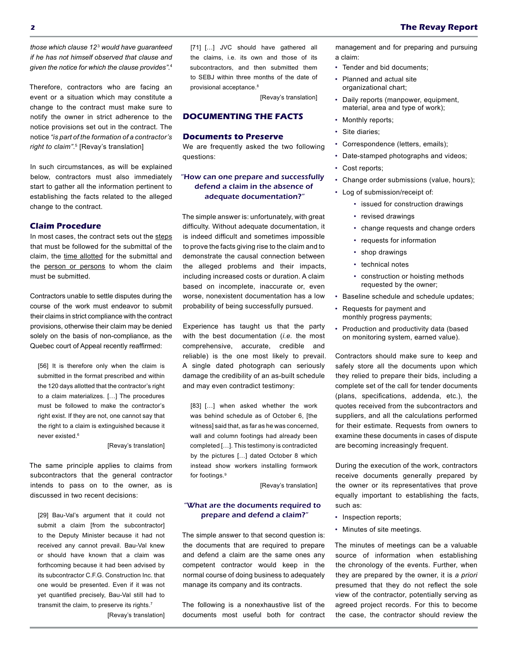*those which clause 12*<sup>3</sup>  *would have guaranteed if he has not himself observed that clause and given the notice for which the clause provides"*. 4

Therefore, contractors who are facing an event or a situation which may constitute a change to the contract must make sure to notify the owner in strict adherence to the notice provisions set out in the contract. The notice *"is part of the formation of a contractor's right to claim"*. 5 [Revay's translation]

In such circumstances, as will be explained below, contractors must also immediately start to gather all the information pertinent to establishing the facts related to the alleged change to the contract.

## **Claim Procedure**

In most cases, the contract sets out the steps that must be followed for the submittal of the claim, the time allotted for the submittal and the person or persons to whom the claim must be submitted.

Contractors unable to settle disputes during the course of the work must endeavor to submit their claims in strict compliance with the contract provisions, otherwise their claim may be denied solely on the basis of non-compliance, as the Quebec court of Appeal recently reaffirmed:

[56] It is therefore only when the claim is submitted in the format prescribed and within the 120 days allotted that the contractor's right to a claim materializes. […] The procedures must be followed to make the contractor's right exist. If they are not, one cannot say that the right to a claim is extinguished because it never existed.6

#### [Revay's translation]

The same principle applies to claims from subcontractors that the general contractor intends to pass on to the owner, as is discussed in two recent decisions:

[29] Bau-Val's argument that it could not submit a claim [from the subcontractor] to the Deputy Minister because it had not received any cannot prevail. Bau-Val knew or should have known that a claim was forthcoming because it had been advised by its subcontractor C.F.G. Construction Inc. that one would be presented. Even if it was not yet quantified precisely, Bau-Val still had to transmit the claim, to preserve its rights.<sup>7</sup>

[Revay's translation]

[71] [...] JVC should have gathered all the claims, i.e. its own and those of its subcontractors, and then submitted them to SEBJ within three months of the date of provisional acceptance.<sup>8</sup>

[Revay's translation]

# **DOCUMENTING THE FACTS**

# **Documents to Preserve**

We are frequently asked the two following questions:

# "How can one prepare and successfully defend a claim in the absence of adequate documentation?"

The simple answer is: unfortunately, with great difficulty. Without adequate documentation, it is indeed difficult and sometimes impossible to prove the facts giving rise to the claim and to demonstrate the causal connection between the alleged problems and their impacts, including increased costs or duration. A claim based on incomplete, inaccurate or, even worse, nonexistent documentation has a low probability of being successfully pursued.

Experience has taught us that the party with the best documentation (*i.e.* the most comprehensive, accurate, credible and reliable) is the one most likely to prevail. A single dated photograph can seriously damage the credibility of an as-built schedule and may even contradict testimony:

[83] [...] when asked whether the work was behind schedule as of October 6, [the witness] said that, as far as he was concerned, wall and column footings had already been completed […]. This testimony is contradicted by the pictures […] dated October 8 which instead show workers installing formwork for footings.9

[Revay's translation]

# "What are the documents required to prepare and defend a claim?"

The simple answer to that second question is: the documents that are required to prepare and defend a claim are the same ones any competent contractor would keep in the normal course of doing business to adequately manage its company and its contracts.

The following is a nonexhaustive list of the documents most useful both for contract management and for preparing and pursuing a claim:

- Tender and bid documents;
- Planned and actual site organizational chart;
- Daily reports (manpower, equipment, material, area and type of work);
- Monthly reports;
- Site diaries:
- Correspondence (letters, emails);
- Date-stamped photographs and videos;
- Cost reports;
- Change order submissions (value, hours);
- Log of submission/receipt of:
	- issued for construction drawings
	- revised drawings
	- change requests and change orders
	- requests for information
	- shop drawings
	- technical notes
	- construction or hoisting methods requested by the owner;
- Baseline schedule and schedule updates;
- Requests for payment and monthly progress payments;
- Production and productivity data (based on monitoring system, earned value).

Contractors should make sure to keep and safely store all the documents upon which they relied to prepare their bids, including a complete set of the call for tender documents (plans, specifications, addenda, etc.), the quotes received from the subcontractors and suppliers, and all the calculations performed for their estimate. Requests from owners to examine these documents in cases of dispute are becoming increasingly frequent.

During the execution of the work, contractors receive documents generally prepared by the owner or its representatives that prove equally important to establishing the facts, such as:

- Inspection reports;
- Minutes of site meetings.

The minutes of meetings can be a valuable source of information when establishing the chronology of the events. Further, when they are prepared by the owner, it is *a priori* presumed that they do not reflect the sole view of the contractor, potentially serving as agreed project records. For this to become the case, the contractor should review the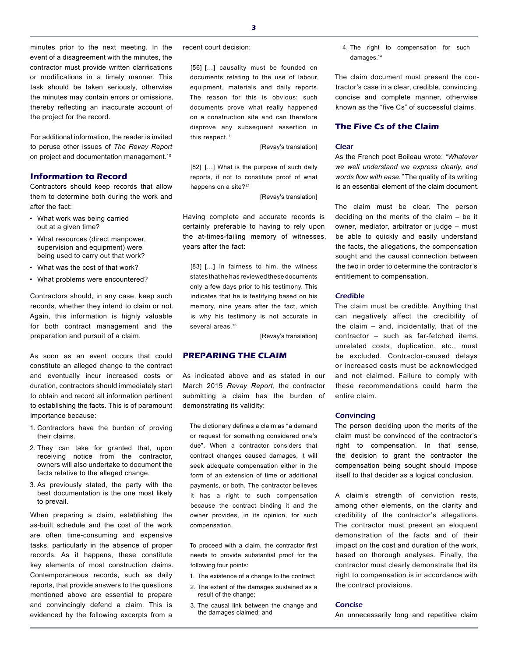minutes prior to the next meeting. In the event of a disagreement with the minutes, the contractor must provide written clarifications or modifications in a timely manner. This task should be taken seriously, otherwise the minutes may contain errors or omissions, thereby reflecting an inaccurate account of the project for the record.

For additional information, the reader is invited to peruse other issues of *The Revay Report* on project and documentation management.<sup>10</sup>

# **Information to Record**

Contractors should keep records that allow them to determine both during the work and after the fact:

- What work was being carried out at a given time?
- What resources (direct manpower, supervision and equipment) were being used to carry out that work?
- What was the cost of that work?
- What problems were encountered?

Contractors should, in any case, keep such records, whether they intend to claim or not. Again, this information is highly valuable for both contract management and the preparation and pursuit of a claim.

As soon as an event occurs that could constitute an alleged change to the contract and eventually incur increased costs or duration, contractors should immediately start to obtain and record all information pertinent to establishing the facts. This is of paramount importance because:

- 1. Contractors have the burden of proving their claims.
- 2. They can take for granted that, upon receiving notice from the contractor, owners will also undertake to document the facts relative to the alleged change.
- 3. As previously stated, the party with the best documentation is the one most likely to prevail.

When preparing a claim, establishing the as-built schedule and the cost of the work are often time-consuming and expensive tasks, particularly in the absence of proper records. As it happens, these constitute key elements of most construction claims. Contemporaneous records, such as daily reports, that provide answers to the questions mentioned above are essential to prepare and convincingly defend a claim. This is evidenced by the following excerpts from a

recent court decision:

[56] [...] causality must be founded on documents relating to the use of labour, equipment, materials and daily reports. The reason for this is obvious: such documents prove what really happened on a construction site and can therefore disprove any subsequent assertion in this respect.<sup>11</sup>

[Revay's translation]

[82] [...] What is the purpose of such daily reports, if not to constitute proof of what happens on a site?<sup>12</sup>

[Revay's translation]

Having complete and accurate records is certainly preferable to having to rely upon the at-times-failing memory of witnesses, years after the fact:

[83] [...] In fairness to him, the witness states that he has reviewed these documents only a few days prior to his testimony. This indicates that he is testifying based on his memory, nine years after the fact, which is why his testimony is not accurate in several areas.<sup>13</sup>

[Revay's translation]

# **PREPARING THE CLAIM**

As indicated above and as stated in our March 2015 *Revay Report*, the contractor submitting a claim has the burden of demonstrating its validity:

The dictionary defines a claim as "a demand or request for something considered one's due". When a contractor considers that contract changes caused damages, it will seek adequate compensation either in the form of an extension of time or additional payments, or both. The contractor believes it has a right to such compensation because the contract binding it and the owner provides, in its opinion, for such compensation.

To proceed with a claim, the contractor first needs to provide substantial proof for the following four points:

- 1. The existence of a change to the contract;
- 2. The extent of the damages sustained as a result of the change;
- 3. The causal link between the change and the damages claimed; and

4. The right to compensation for such damages.<sup>14</sup>

The claim document must present the contractor's case in a clear, credible, convincing, concise and complete manner, otherwise known as the "five Cs" of successful claims.

#### **The Five Cs of the Claim**

## Clear

As the French poet Boileau wrote: *"Whatever we well understand we express clearly, and words flow with ease."* The quality of its writing is an essential element of the claim document.

The claim must be clear. The person deciding on the merits of the claim – be it owner, mediator, arbitrator or judge – must be able to quickly and easily understand the facts, the allegations, the compensation sought and the causal connection between the two in order to determine the contractor's entitlement to compensation.

#### Credible

The claim must be credible. Anything that can negatively affect the credibility of the claim – and, incidentally, that of the contractor – such as far-fetched items, unrelated costs, duplication, etc., must be excluded. Contractor-caused delays or increased costs must be acknowledged and not claimed. Failure to comply with these recommendations could harm the entire claim.

#### **Convincing**

The person deciding upon the merits of the claim must be convinced of the contractor's right to compensation. In that sense, the decision to grant the contractor the compensation being sought should impose itself to that decider as a logical conclusion.

A claim's strength of conviction rests, among other elements, on the clarity and credibility of the contractor's allegations. The contractor must present an eloquent demonstration of the facts and of their impact on the cost and duration of the work, based on thorough analyses. Finally, the contractor must clearly demonstrate that its right to compensation is in accordance with the contract provisions.

#### Concise

An unnecessarily long and repetitive claim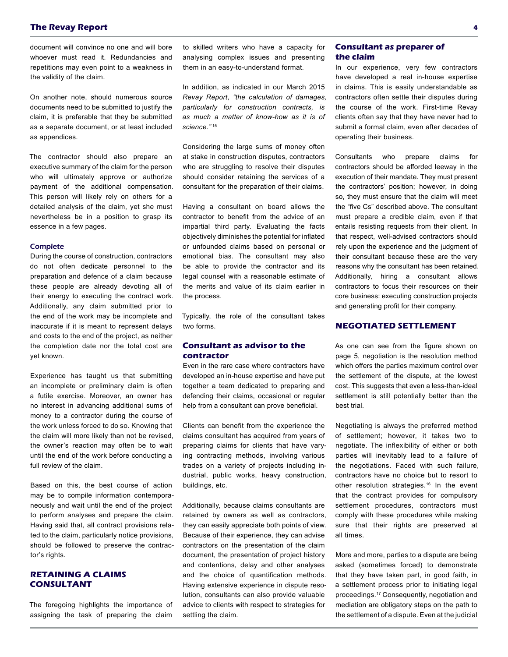document will convince no one and will bore whoever must read it. Redundancies and repetitions may even point to a weakness in the validity of the claim.

On another note, should numerous source documents need to be submitted to justify the claim, it is preferable that they be submitted as a separate document, or at least included as appendices.

The contractor should also prepare an executive summary of the claim for the person who will ultimately approve or authorize payment of the additional compensation. This person will likely rely on others for a detailed analysis of the claim, yet she must nevertheless be in a position to grasp its essence in a few pages.

#### **Complete**

During the course of construction, contractors do not often dedicate personnel to the preparation and defence of a claim because these people are already devoting all of their energy to executing the contract work. Additionally, any claim submitted prior to the end of the work may be incomplete and inaccurate if it is meant to represent delays and costs to the end of the project, as neither the completion date nor the total cost are yet known.

Experience has taught us that submitting an incomplete or preliminary claim is often a futile exercise. Moreover, an owner has no interest in advancing additional sums of money to a contractor during the course of the work unless forced to do so. Knowing that the claim will more likely than not be revised, the owner's reaction may often be to wait until the end of the work before conducting a full review of the claim.

Based on this, the best course of action may be to compile information contemporaneously and wait until the end of the project to perform analyses and prepare the claim. Having said that, all contract provisions related to the claim, particularly notice provisions, should be followed to preserve the contractor's rights.

# **RETAINING A CLAIMS CONSULTANT**

The foregoing highlights the importance of assigning the task of preparing the claim

to skilled writers who have a capacity for analysing complex issues and presenting them in an easy-to-understand format.

In addition, as indicated in our March 2015 *Revay Report*, *"the calculation of damages, particularly for construction contracts, is as much a matter of know-how as it is of science."* <sup>15</sup>

Considering the large sums of money often at stake in construction disputes, contractors who are struggling to resolve their disputes should consider retaining the services of a consultant for the preparation of their claims.

Having a consultant on board allows the contractor to benefit from the advice of an impartial third party. Evaluating the facts objectively diminishes the potential for inflated or unfounded claims based on personal or emotional bias. The consultant may also be able to provide the contractor and its legal counsel with a reasonable estimate of the merits and value of its claim earlier in the process.

Typically, the role of the consultant takes two forms.

# **Consultant as advisor to the contractor**

Even in the rare case where contractors have developed an in-house expertise and have put together a team dedicated to preparing and defending their claims, occasional or regular help from a consultant can prove beneficial.

Clients can benefit from the experience the claims consultant has acquired from years of preparing claims for clients that have varying contracting methods, involving various trades on a variety of projects including industrial, public works, heavy construction, buildings, etc.

Additionally, because claims consultants are retained by owners as well as contractors, they can easily appreciate both points of view. Because of their experience, they can advise contractors on the presentation of the claim document, the presentation of project history and contentions, delay and other analyses and the choice of quantification methods. Having extensive experience in dispute resolution, consultants can also provide valuable advice to clients with respect to strategies for settling the claim.

# **Consultant as preparer of the claim**

In our experience, very few contractors have developed a real in-house expertise in claims. This is easily understandable as contractors often settle their disputes during the course of the work. First-time Revay clients often say that they have never had to submit a formal claim, even after decades of operating their business.

Consultants who prepare claims for contractors should be afforded leeway in the execution of their mandate. They must present the contractors' position; however, in doing so, they must ensure that the claim will meet the "five Cs" described above. The consultant must prepare a credible claim, even if that entails resisting requests from their client. In that respect, well-advised contractors should rely upon the experience and the judgment of their consultant because these are the very reasons why the consultant has been retained. Additionally, hiring a consultant allows contractors to focus their resources on their core business: executing construction projects and generating profit for their company.

# **NEGOTIATED SETTLEMENT**

As one can see from the figure shown on page 5, negotiation is the resolution method which offers the parties maximum control over the settlement of the dispute, at the lowest cost. This suggests that even a less-than-ideal settlement is still potentially better than the best trial.

Negotiating is always the preferred method of settlement; however, it takes two to negotiate. The inflexibility of either or both parties will inevitably lead to a failure of the negotiations. Faced with such failure, contractors have no choice but to resort to other resolution strategies.<sup>16</sup> In the event that the contract provides for compulsory settlement procedures, contractors must comply with these procedures while making sure that their rights are preserved at all times.

More and more, parties to a dispute are being asked (sometimes forced) to demonstrate that they have taken part, in good faith, in a settlement process prior to initiating legal proceedings.17 Consequently, negotiation and mediation are obligatory steps on the path to the settlement of a dispute. Even at the judicial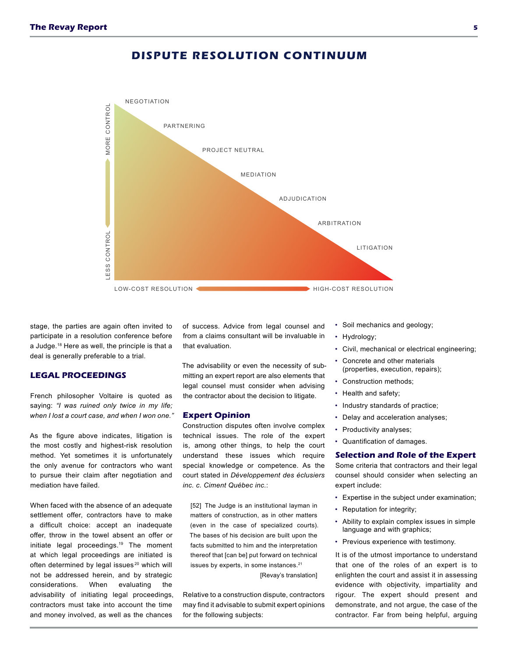# NEGOTIATION LESS CONTROL MORE CONTROL MORE CONTROL PARTNERING PROJECT NEUTRAL MEDIATION ADJUDICATION ARBITRATION **ESS CONTROL** LITIGATION LOW-COST RESOLUTION HIGH-COST RESOLUTION

# **DISPUTE RESOLUTION CONTINUUM**

stage, the parties are again often invited to participate in a resolution conference before a Judge.18 Here as well, the principle is that a deal is generally preferable to a trial.

# **LEGAL PROCEEDINGS**

French philosopher Voltaire is quoted as saying: *"I was ruined only twice in my life; when I lost a court case, and when I won one."*

As the figure above indicates, litigation is the most costly and highest-risk resolution method. Yet sometimes it is unfortunately the only avenue for contractors who want to pursue their claim after negotiation and mediation have failed.

When faced with the absence of an adequate settlement offer, contractors have to make a difficult choice: accept an inadequate offer, throw in the towel absent an offer or initiate legal proceedings.19 The moment at which legal proceedings are initiated is often determined by legal issues<sup>20</sup> which will not be addressed herein, and by strategic considerations. When evaluating the advisability of initiating legal proceedings, contractors must take into account the time and money involved, as well as the chances

of success. Advice from legal counsel and from a claims consultant will be invaluable in that evaluation.

The advisability or even the necessity of submitting an expert report are also elements that legal counsel must consider when advising the contractor about the decision to litigate.

## **Expert Opinion**

Construction disputes often involve complex technical issues. The role of the expert is, among other things, to help the court understand these issues which require special knowledge or competence. As the court stated in *Développement des éclusiers inc. c. Ciment Québec inc.*:

[52] The Judge is an institutional layman in matters of construction, as in other matters (even in the case of specialized courts). The bases of his decision are built upon the facts submitted to him and the interpretation thereof that [can be] put forward on technical issues by experts, in some instances.<sup>21</sup>

[Revay's translation]

Relative to a construction dispute, contractors may find it advisable to submit expert opinions for the following subjects:

- Soil mechanics and geology;
- Hydrology;
- Civil, mechanical or electrical engineering;
- Concrete and other materials (properties, execution, repairs);
- Construction methods;
- Health and safety;
- Industry standards of practice;
- Delay and acceleration analyses;
- Productivity analyses;
- Quantification of damages.

#### **Selection and Role of the Expert**

Some criteria that contractors and their legal counsel should consider when selecting an expert include:

- Expertise in the subject under examination;
- Reputation for integrity;
- Ability to explain complex issues in simple language and with graphics;
- Previous experience with testimony.

It is of the utmost importance to understand that one of the roles of an expert is to enlighten the court and assist it in assessing evidence with objectivity, impartiality and rigour. The expert should present and demonstrate, and not argue, the case of the contractor. Far from being helpful, arguing